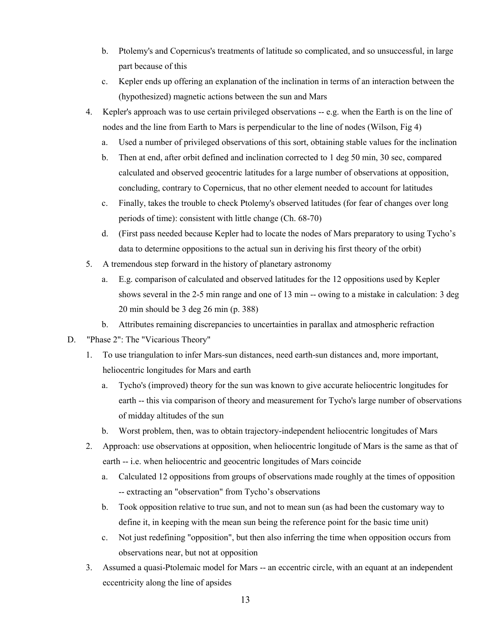- b. Ptolemy's and Copernicus's treatments of latitude so complicated, and so unsuccessful, in large part because of this
- c. Kepler ends up offering an explanation of the inclination in terms of an interaction between the (hypothesized) magnetic actions between the sun and Mars
- 4. Kepler's approach was to use certain privileged observations -- e.g. when the Earth is on the line of nodes and the line from Earth to Mars is perpendicular to the line of nodes (Wilson, Fig 4)
	- a. Used a number of privileged observations of this sort, obtaining stable values for the inclination
	- b. Then at end, after orbit defined and inclination corrected to 1 deg 50 min, 30 sec, compared calculated and observed geocentric latitudes for a large number of observations at opposition, concluding, contrary to Copernicus, that no other element needed to account for latitudes
	- c. Finally, takes the trouble to check Ptolemy's observed latitudes (for fear of changes over long periods of time): consistent with little change (Ch. 68-70)
	- d. (First pass needed because Kepler had to locate the nodes of Mars preparatory to using Tycho's data to determine oppositions to the actual sun in deriving his first theory of the orbit)
- 5. A tremendous step forward in the history of planetary astronomy
	- a. E.g. comparison of calculated and observed latitudes for the 12 oppositions used by Kepler shows several in the 2-5 min range and one of 13 min -- owing to a mistake in calculation: 3 deg 20 min should be 3 deg 26 min (p. 388)
	- b. Attributes remaining discrepancies to uncertainties in parallax and atmospheric refraction
- D. "Phase 2": The "Vicarious Theory"
	- 1. To use triangulation to infer Mars-sun distances, need earth-sun distances and, more important, heliocentric longitudes for Mars and earth
		- a. Tycho's (improved) theory for the sun was known to give accurate heliocentric longitudes for earth -- this via comparison of theory and measurement for Tycho's large number of observations of midday altitudes of the sun
		- b. Worst problem, then, was to obtain trajectory-independent heliocentric longitudes of Mars
	- 2. Approach: use observations at opposition, when heliocentric longitude of Mars is the same as that of earth -- i.e. when heliocentric and geocentric longitudes of Mars coincide
		- a. Calculated 12 oppositions from groups of observations made roughly at the times of opposition -- extracting an "observation" from Tycho's observations
		- b. Took opposition relative to true sun, and not to mean sun (as had been the customary way to define it, in keeping with the mean sun being the reference point for the basic time unit)
		- c. Not just redefining "opposition", but then also inferring the time when opposition occurs from observations near, but not at opposition
	- 3. Assumed a quasi-Ptolemaic model for Mars -- an eccentric circle, with an equant at an independent eccentricity along the line of apsides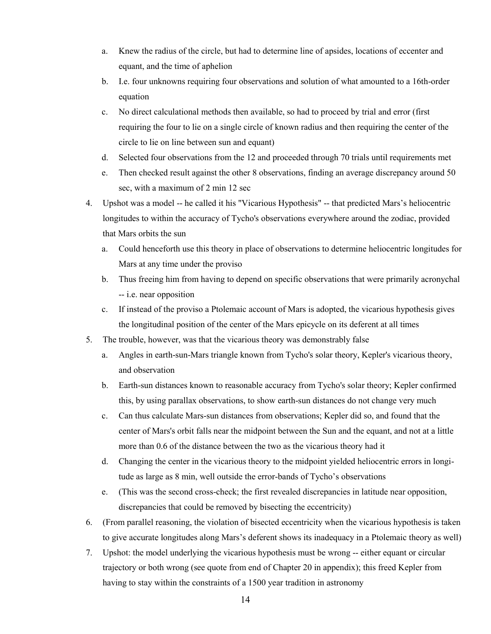- a. Knew the radius of the circle, but had to determine line of apsides, locations of eccenter and equant, and the time of aphelion
- b. I.e. four unknowns requiring four observations and solution of what amounted to a 16th-order equation
- c. No direct calculational methods then available, so had to proceed by trial and error (first requiring the four to lie on a single circle of known radius and then requiring the center of the circle to lie on line between sun and equant)
- d. Selected four observations from the 12 and proceeded through 70 trials until requirements met
- e. Then checked result against the other 8 observations, finding an average discrepancy around 50 sec, with a maximum of 2 min 12 sec
- 4. Upshot was a model -- he called it his "Vicarious Hypothesis" -- that predicted Mars's heliocentric longitudes to within the accuracy of Tycho's observations everywhere around the zodiac, provided that Mars orbits the sun
	- a. Could henceforth use this theory in place of observations to determine heliocentric longitudes for Mars at any time under the proviso
	- b. Thus freeing him from having to depend on specific observations that were primarily acronychal -- i.e. near opposition
	- c. If instead of the proviso a Ptolemaic account of Mars is adopted, the vicarious hypothesis gives the longitudinal position of the center of the Mars epicycle on its deferent at all times
- 5. The trouble, however, was that the vicarious theory was demonstrably false
	- a. Angles in earth-sun-Mars triangle known from Tycho's solar theory, Kepler's vicarious theory, and observation
	- b. Earth-sun distances known to reasonable accuracy from Tycho's solar theory; Kepler confirmed this, by using parallax observations, to show earth-sun distances do not change very much
	- c. Can thus calculate Mars-sun distances from observations; Kepler did so, and found that the center of Mars's orbit falls near the midpoint between the Sun and the equant, and not at a little more than 0.6 of the distance between the two as the vicarious theory had it
	- d. Changing the center in the vicarious theory to the midpoint yielded heliocentric errors in longitude as large as 8 min, well outside the error-bands of Tycho's observations
	- e. (This was the second cross-check; the first revealed discrepancies in latitude near opposition, discrepancies that could be removed by bisecting the eccentricity)
- 6. (From parallel reasoning, the violation of bisected eccentricity when the vicarious hypothesis is taken to give accurate longitudes along Mars's deferent shows its inadequacy in a Ptolemaic theory as well)
- 7. Upshot: the model underlying the vicarious hypothesis must be wrong -- either equant or circular trajectory or both wrong (see quote from end of Chapter 20 in appendix); this freed Kepler from having to stay within the constraints of a 1500 year tradition in astronomy